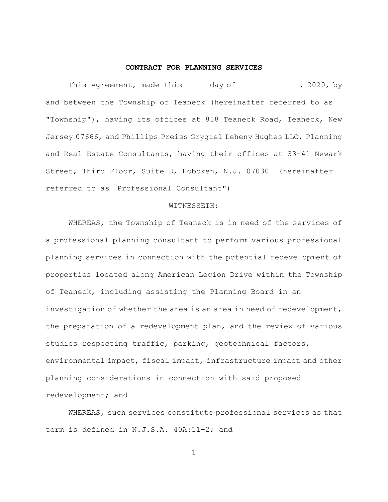## **CONTRACT FOR PLANNING SERVICES**

This Agreement, made this day of (2020, by and between the Township of Teaneck (hereinafter referred to as "Township"), having its offices at 818 Teaneck Road, Teaneck, New Jersey 07666, and Phillips Preiss Grygiel Leheny Hughes LLC, Planning and Real Estate Consultants, having their offices at 33-41 Newark Street, Third Floor, Suite D, Hoboken, N.J. 07030 (hereinafter referred to as "Professional Consultant")

### WITNESSETH:

WHEREAS, the Township of Teaneck is in need of the services of a professional planning consultant to perform various professional planning services in connection with the potential redevelopment of properties located along American Legion Drive within the Township of Teaneck, including assisting the Planning Board in an investigation of whether the area is an area in need of redevelopment, the preparation of a redevelopment plan, and the review of various studies respecting traffic, parking, geotechnical factors, environmental impact, fiscal impact, infrastructure impact and other planning considerations in connection with said proposed redevelopment; and

WHEREAS, such services constitute professional services as that term is defined in N.J.S.A. 40A:11-2; and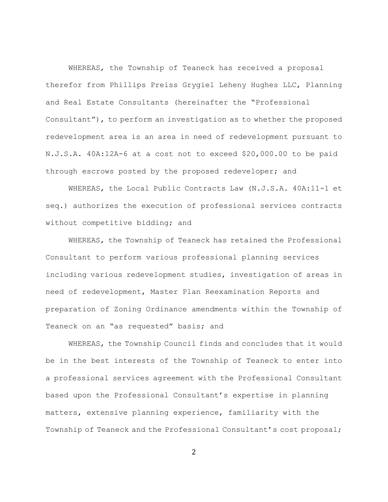WHEREAS, the Township of Teaneck has received a proposal therefor from Phillips Preiss Grygiel Leheny Hughes LLC, Planning and Real Estate Consultants (hereinafter the "Professional Consultant"), to perform an investigation as to whether the proposed redevelopment area is an area in need of redevelopment pursuant to N.J.S.A. 40A:12A-6 at a cost not to exceed \$20,000.00 to be paid through escrows posted by the proposed redeveloper; and

WHEREAS, the Local Public Contracts Law (N.J.S.A. 40A:11-1 et seq.) authorizes the execution of professional services contracts without competitive bidding; and

WHEREAS, the Township of Teaneck has retained the Professional Consultant to perform various professional planning services including various redevelopment studies, investigation of areas in need of redevelopment, Master Plan Reexamination Reports and preparation of Zoning Ordinance amendments within the Township of Teaneck on an "as requested" basis; and

WHEREAS, the Township Council finds and concludes that it would be in the best interests of the Township of Teaneck to enter into a professional services agreement with the Professional Consultant based upon the Professional Consultant's expertise in planning matters, extensive planning experience, familiarity with the Township of Teaneck and the Professional Consultant's cost proposal;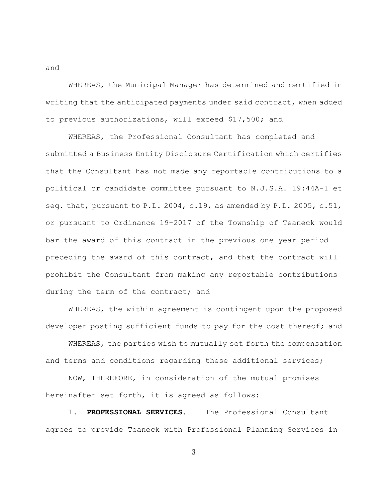WHEREAS, the Municipal Manager has determined and certified in writing that the anticipated payments under said contract, when added to previous authorizations, will exceed \$17,500; and

WHEREAS, the Professional Consultant has completed and submitted a Business Entity Disclosure Certification which certifies that the Consultant has not made any reportable contributions to a political or candidate committee pursuant to N.J.S.A. 19:44A-1 et seq. that, pursuant to P.L. 2004, c.19, as amended by P.L. 2005, c.51, or pursuant to Ordinance 19-2017 of the Township of Teaneck would bar the award of this contract in the previous one year period preceding the award of this contract, and that the contract will prohibit the Consultant from making any reportable contributions during the term of the contract; and

WHEREAS, the within agreement is contingent upon the proposed developer posting sufficient funds to pay for the cost thereof; and

WHEREAS, the parties wish to mutually set forth the compensation and terms and conditions regarding these additional services;

NOW, THEREFORE, in consideration of the mutual promises hereinafter set forth, it is agreed as follows:

1. **PROFESSIONAL SERVICES.** The Professional Consultant agrees to provide Teaneck with Professional Planning Services in

3

and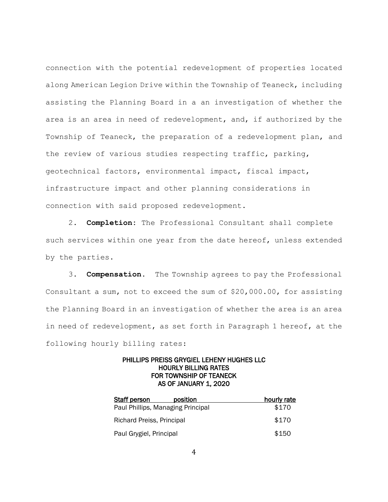connection with the potential redevelopment of properties located along American Legion Drive within the Township of Teaneck, including assisting the Planning Board in a an investigation of whether the area is an area in need of redevelopment, and, if authorized by the Township of Teaneck, the preparation of a redevelopment plan, and the review of various studies respecting traffic, parking, geotechnical factors, environmental impact, fiscal impact, infrastructure impact and other planning considerations in connection with said proposed redevelopment.

2. **Completion:** The Professional Consultant shall complete such services within one year from the date hereof, unless extended by the parties.

3. **Compensation.** The Township agrees to pay the Professional Consultant a sum, not to exceed the sum of \$20,000.00, for assisting the Planning Board in an investigation of whether the area is an area in need of redevelopment, as set forth in Paragraph 1 hereof, at the following hourly billing rates:

# PHILLIPS PREISS GRYGIEL LEHENY HUGHES LLC HOURLY BILLING RATES FOR TOWNSHIP OF TEANECK AS OF JANUARY 1, 2020

| <b>Staff person</b>               | position | hourly rate |
|-----------------------------------|----------|-------------|
| Paul Phillips, Managing Principal |          | \$170       |
| Richard Preiss, Principal         |          | \$170       |
| Paul Grygiel, Principal           |          | \$150       |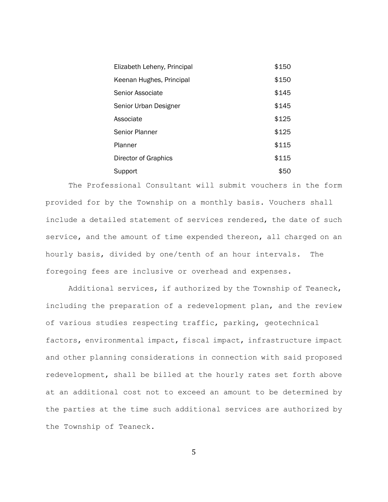| Elizabeth Leheny, Principal | \$150 |
|-----------------------------|-------|
| Keenan Hughes, Principal    | \$150 |
| Senior Associate            | \$145 |
| Senior Urban Designer       | \$145 |
| Associate                   | \$125 |
| Senior Planner              | \$125 |
| Planner                     | \$115 |
| Director of Graphics        | \$115 |
| Support                     | \$50  |

The Professional Consultant will submit vouchers in the form provided for by the Township on a monthly basis. Vouchers shall include a detailed statement of services rendered, the date of such service, and the amount of time expended thereon, all charged on an hourly basis, divided by one/tenth of an hour intervals. The foregoing fees are inclusive or overhead and expenses.

Additional services, if authorized by the Township of Teaneck, including the preparation of a redevelopment plan, and the review of various studies respecting traffic, parking, geotechnical factors, environmental impact, fiscal impact, infrastructure impact and other planning considerations in connection with said proposed redevelopment, shall be billed at the hourly rates set forth above at an additional cost not to exceed an amount to be determined by the parties at the time such additional services are authorized by the Township of Teaneck.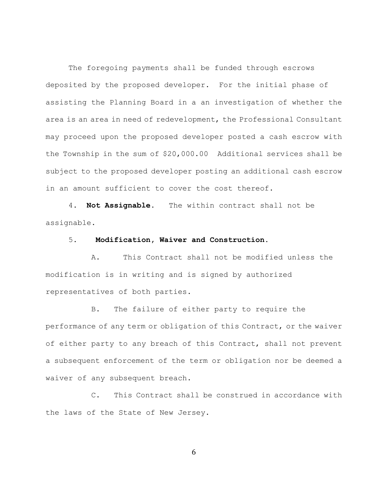The foregoing payments shall be funded through escrows deposited by the proposed developer. For the initial phase of assisting the Planning Board in a an investigation of whether the area is an area in need of redevelopment, the Professional Consultant may proceed upon the proposed developer posted a cash escrow with the Township in the sum of \$20,000.00 Additional services shall be subject to the proposed developer posting an additional cash escrow in an amount sufficient to cover the cost thereof.

4. **Not Assignable.** The within contract shall not be assignable.

## 5. **Modification, Waiver and Construction.**

A. This Contract shall not be modified unless the modification is in writing and is signed by authorized representatives of both parties.

B. The failure of either party to require the performance of any term or obligation of this Contract, or the waiver of either party to any breach of this Contract, shall not prevent a subsequent enforcement of the term or obligation nor be deemed a waiver of any subsequent breach.

C. This Contract shall be construed in accordance with the laws of the State of New Jersey.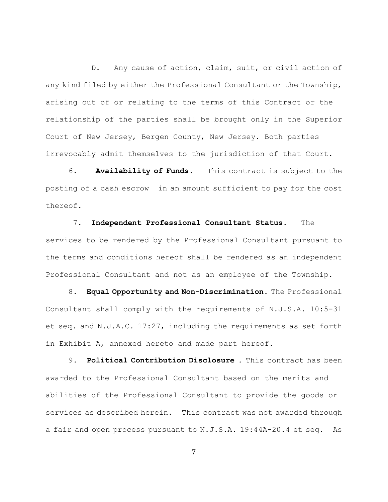D. Any cause of action, claim, suit, or civil action of any kind filed by either the Professional Consultant or the Township, arising out of or relating to the terms of this Contract or the relationship of the parties shall be brought only in the Superior Court of New Jersey, Bergen County, New Jersey. Both parties irrevocably admit themselves to the jurisdiction of that Court.

6. **Availability of Funds.** This contract is subject to the posting of a cash escrow in an amount sufficient to pay for the cost thereof.

7. **Independent Professional Consultant Status**. The services to be rendered by the Professional Consultant pursuant to the terms and conditions hereof shall be rendered as an independent Professional Consultant and not as an employee of the Township.

8. **Equal Opportunity and Non-Discrimination.** The Professional Consultant shall comply with the requirements of N.J.S.A. 10:5-31 et seq. and N.J.A.C. 17:27, including the requirements as set forth in Exhibit A, annexed hereto and made part hereof.

9. **Political Contribution Disclosure** . This contract has been awarded to the Professional Consultant based on the merits and abilities of the Professional Consultant to provide the goods or services as described herein. This contract was not awarded through a fair and open process pursuant to N.J.S.A. 19:44A-20.4 et seq. As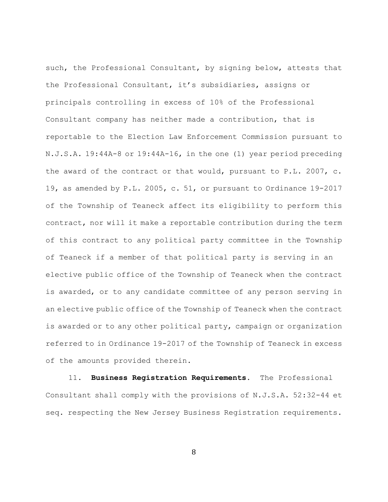such, the Professional Consultant, by signing below, attests that the Professional Consultant, it's subsidiaries, assigns or principals controlling in excess of 10% of the Professional Consultant company has neither made a contribution, that is reportable to the Election Law Enforcement Commission pursuant to N.J.S.A. 19:44A-8 or 19:44A-16, in the one (1) year period preceding the award of the contract or that would, pursuant to P.L. 2007, c. 19, as amended by P.L. 2005, c. 51, or pursuant to Ordinance 19-2017 of the Township of Teaneck affect its eligibility to perform this contract, nor will it make a reportable contribution during the term of this contract to any political party committee in the Township of Teaneck if a member of that political party is serving in an elective public office of the Township of Teaneck when the contract is awarded, or to any candidate committee of any person serving in an elective public office of the Township of Teaneck when the contract is awarded or to any other political party, campaign or organization referred to in Ordinance 19-2017 of the Township of Teaneck in excess of the amounts provided therein.

11. **Business Registration Requirements.** The Professional Consultant shall comply with the provisions of N.J.S.A. 52:32-44 et seq. respecting the New Jersey Business Registration requirements.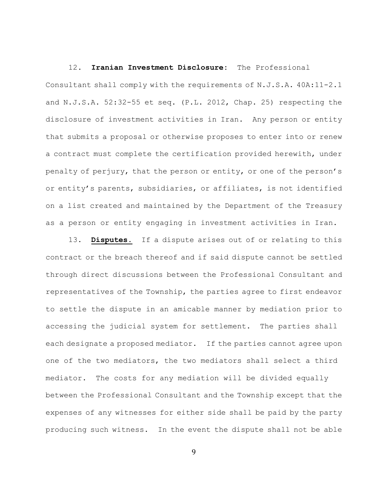### 12. **Iranian Investment Disclosure:** The Professional

Consultant shall comply with the requirements of N.J.S.A. 40A:11-2.1 and N.J.S.A. 52:32-55 et seq. (P.L. 2012, Chap. 25) respecting the disclosure of investment activities in Iran. Any person or entity that submits a proposal or otherwise proposes to enter into or renew a contract must complete the certification provided herewith, under penalty of perjury, that the person or entity, or one of the person's or entity's parents, subsidiaries, or affiliates, is not identified on a list created and maintained by the Department of the Treasury as a person or entity engaging in investment activities in Iran.

13. **Disputes.** If a dispute arises out of or relating to this contract or the breach thereof and if said dispute cannot be settled through direct discussions between the Professional Consultant and representatives of the Township, the parties agree to first endeavor to settle the dispute in an amicable manner by mediation prior to accessing the judicial system for settlement. The parties shall each designate a proposed mediator. If the parties cannot agree upon one of the two mediators, the two mediators shall select a third mediator. The costs for any mediation will be divided equally between the Professional Consultant and the Township except that the expenses of any witnesses for either side shall be paid by the party producing such witness. In the event the dispute shall not be able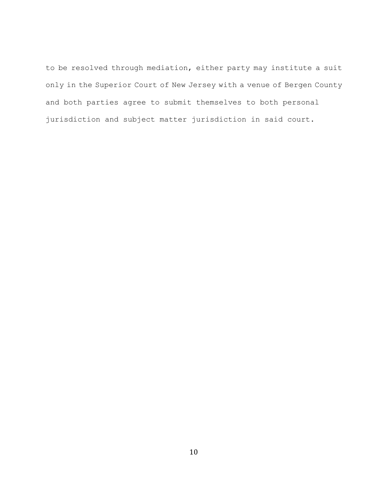to be resolved through mediation, either party may institute a suit only in the Superior Court of New Jersey with a venue of Bergen County and both parties agree to submit themselves to both personal jurisdiction and subject matter jurisdiction in said court.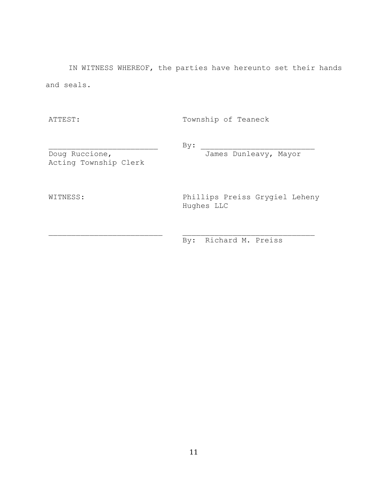IN WITNESS WHEREOF, the parties have hereunto set their hands and seals.

ATTEST: Township of Teaneck

 $By:$ 

Doug Ruccione, James Dunleavy, Mayor Acting Township Clerk

WITNESS: Phillips Preiss Grygiel Leheny Hughes LLC

By: Richard M. Preiss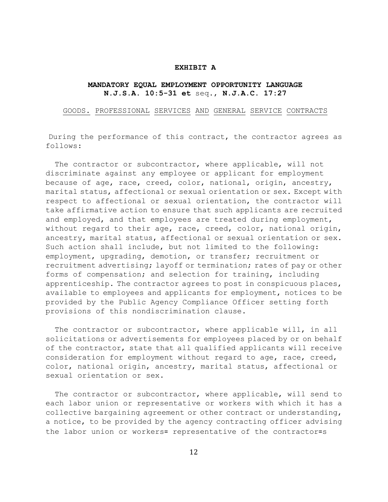### **EXHIBIT A**

# **MANDATORY EQUAL EMPLOYMENT OPPORTUNITY LANGUAGE N.J.S.A. 10:5-31 et** seq., **N.J.A.C. 17:27**

GOODS. PROFESSIONAL SERVICES AND GENERAL SERVICE CONTRACTS

During the performance of this contract, the contractor agrees as follows:

The contractor or subcontractor, where applicable, will not discriminate against any employee or applicant for employment because of age, race, creed, color, national, origin, ancestry, marital status, affectional or sexual orientation or sex. Except with respect to affectional or sexual orientation, the contractor will take affirmative action to ensure that such applicants are recruited and employed, and that employees are treated during employment, without regard to their age, race, creed, color, national origin, ancestry, marital status, affectional or sexual orientation or sex. Such action shall include, but not limited to the following: employment, upgrading, demotion, or transfer; recruitment or recruitment advertising; layoff or termination; rates of pay or other forms of compensation; and selection for training, including apprenticeship. The contractor agrees to post in conspicuous places, available to employees and applicants for employment, notices to be provided by the Public Agency Compliance Officer setting forth provisions of this nondiscrimination clause.

The contractor or subcontractor, where applicable will, in all solicitations or advertisements for employees placed by or on behalf of the contractor, state that all qualified applicants will receive consideration for employment without regard to age, race, creed, color, national origin, ancestry, marital status, affectional or sexual orientation or sex.

The contractor or subcontractor, where applicable, will send to each labor union or representative or workers with which it has a collective bargaining agreement or other contract or understanding, a notice, to be provided by the agency contracting officer advising the labor union or workers= representative of the contractor=s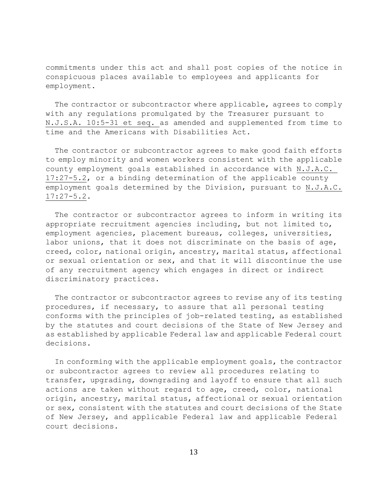commitments under this act and shall post copies of the notice in conspicuous places available to employees and applicants for employment.

The contractor or subcontractor where applicable, agrees to comply with any regulations promulgated by the Treasurer pursuant to N.J.S.A. 10:5-31 et seq. as amended and supplemented from time to time and the Americans with Disabilities Act.

The contractor or subcontractor agrees to make good faith efforts to employ minority and women workers consistent with the applicable county employment goals established in accordance with N.J.A.C. 17:27-5.2, or a binding determination of the applicable county employment goals determined by the Division, pursuant to N.J.A.C. 17:27-5.2.

The contractor or subcontractor agrees to inform in writing its appropriate recruitment agencies including, but not limited to, employment agencies, placement bureaus, colleges, universities, labor unions, that it does not discriminate on the basis of age, creed, color, national origin, ancestry, marital status, affectional or sexual orientation or sex, and that it will discontinue the use of any recruitment agency which engages in direct or indirect discriminatory practices.

The contractor or subcontractor agrees to revise any of its testing procedures, if necessary, to assure that all personal testing conforms with the principles of job-related testing, as established by the statutes and court decisions of the State of New Jersey and as established by applicable Federal law and applicable Federal court decisions.

In conforming with the applicable employment goals, the contractor or subcontractor agrees to review all procedures relating to transfer, upgrading, downgrading and layoff to ensure that all such actions are taken without regard to age, creed, color, national origin, ancestry, marital status, affectional or sexual orientation or sex, consistent with the statutes and court decisions of the State of New Jersey, and applicable Federal law and applicable Federal court decisions.